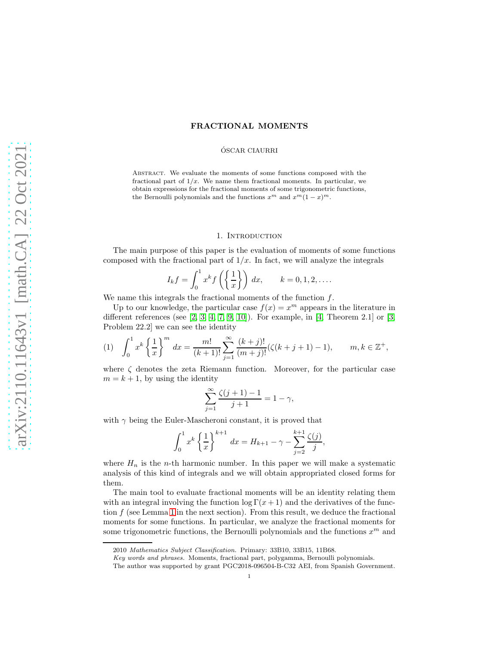# FRACTIONAL MOMENTS

## ÓSCAR CIAURRI

Abstract. We evaluate the moments of some functions composed with the fractional part of  $1/x$ . We name them fractional moments. In particular, we obtain expressions for the fractional moments of some trigonometric functions, the Bernoulli polynomials and the functions  $x^m$  and  $x^m(1-x)^m$ .

### 1. INTRODUCTION

The main purpose of this paper is the evaluation of moments of some functions composed with the fractional part of  $1/x$ . In fact, we will analyze the integrals

$$
I_k f = \int_0^1 x^k f\left(\left\{\frac{1}{x}\right\}\right) dx, \qquad k = 0, 1, 2, \dots
$$

We name this integrals the fractional moments of the function  $f$ .

Up to our knowledge, the particular case  $f(x) = x^m$  appears in the literature in different references (see  $[2, 3, 4, 7, 9, 10]$  $[2, 3, 4, 7, 9, 10]$  $[2, 3, 4, 7, 9, 10]$  $[2, 3, 4, 7, 9, 10]$  $[2, 3, 4, 7, 9, 10]$  $[2, 3, 4, 7, 9, 10]$ ). For example, in  $[4,$  Theorem 2.1] or  $[3,$ Problem 22.2] we can see the identity

<span id="page-0-0"></span>(1) 
$$
\int_0^1 x^k \left\{ \frac{1}{x} \right\}^m dx = \frac{m!}{(k+1)!} \sum_{j=1}^\infty \frac{(k+j)!}{(m+j)!} (\zeta(k+j+1)-1), \qquad m, k \in \mathbb{Z}^+,
$$

where  $\zeta$  denotes the zeta Riemann function. Moreover, for the particular case  $m = k + 1$ , by using the identity

$$
\sum_{j=1}^{\infty} \frac{\zeta(j+1) - 1}{j+1} = 1 - \gamma,
$$

with  $\gamma$  being the Euler-Mascheroni constant, it is proved that

$$
\int_0^1 x^k \left\{ \frac{1}{x} \right\}^{k+1} dx = H_{k+1} - \gamma - \sum_{j=2}^{k+1} \frac{\zeta(j)}{j},
$$

where  $H_n$  is the *n*-th harmonic number. In this paper we will make a systematic analysis of this kind of integrals and we will obtain appropriated closed forms for them.

The main tool to evaluate fractional moments will be an identity relating them with an integral involving the function  $\log \Gamma(x+1)$  and the derivatives of the function  $f$  (see Lemma [1](#page-1-0) in the next section). From this result, we deduce the fractional moments for some functions. In particular, we analyze the fractional moments for some trigonometric functions, the Bernoulli polynomials and the functions  $x^m$  and

<sup>2010</sup> Mathematics Subject Classification. Primary: 33B10, 33B15, 11B68.

Key words and phrases. Moments, fractional part, polygamma, Bernoulli polynomials.

The author was supported by grant PGC2018-096504-B-C32 AEI, from Spanish Government.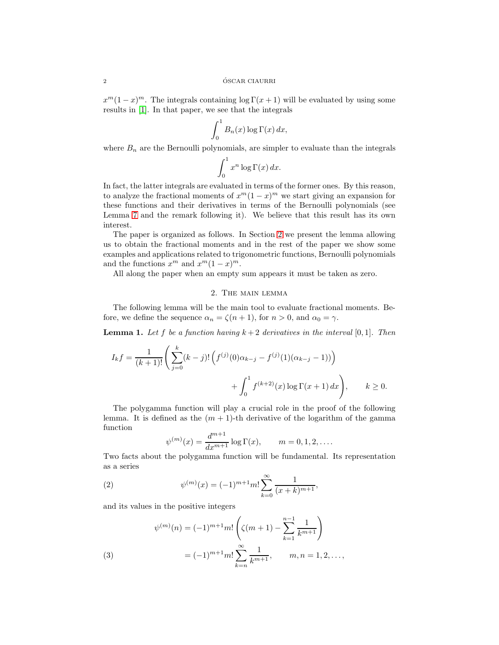$x^m(1-x)^m$ . The integrals containing  $\log \Gamma(x+1)$  will be evaluated by using some results in [\[1\]](#page-13-6). In that paper, we see that the integrals

$$
\int_0^1 B_n(x) \log \Gamma(x) \, dx,
$$

where  $B_n$  are the Bernoulli polynomials, are simpler to evaluate than the integrals

$$
\int_0^1 x^n \log \Gamma(x) \, dx.
$$

In fact, the latter integrals are evaluated in terms of the former ones. By this reason, to analyze the fractional moments of  $x^m(1-x)^m$  we start giving an expansion for these functions and their derivatives in terms of the Bernoulli polynomials (see Lemma [7](#page-10-0) and the remark following it). We believe that this result has its own interest.

The paper is organized as follows. In Section [2](#page-1-1) we present the lemma allowing us to obtain the fractional moments and in the rest of the paper we show some examples and applications related to trigonometric functions, Bernoulli polynomials and the functions  $x^m$  and  $x^m(1-x)^m$ .

<span id="page-1-1"></span>All along the paper when an empty sum appears it must be taken as zero.

# 2. The main lemma

The following lemma will be the main tool to evaluate fractional moments. Before, we define the sequence  $\alpha_n = \zeta(n+1)$ , for  $n > 0$ , and  $\alpha_0 = \gamma$ .

<span id="page-1-0"></span>**Lemma 1.** Let f be a function having  $k + 2$  derivatives in the interval [0, 1]. Then

$$
I_k f = \frac{1}{(k+1)!} \left( \sum_{j=0}^k (k-j)! \left( f^{(j)}(0) \alpha_{k-j} - f^{(j)}(1) (\alpha_{k-j} - 1) \right) \right) + \int_0^1 f^{(k+2)}(x) \log \Gamma(x+1) dx \right), \qquad k \ge 0.
$$

The polygamma function will play a crucial role in the proof of the following lemma. It is defined as the  $(m + 1)$ -th derivative of the logarithm of the gamma function

<span id="page-1-2"></span>
$$
\psi^{(m)}(x) = \frac{d^{m+1}}{dx^{m+1}} \log \Gamma(x), \qquad m = 0, 1, 2, ....
$$

Two facts about the polygamma function will be fundamental. Its representation as a series

(2) 
$$
\psi^{(m)}(x) = (-1)^{m+1} m! \sum_{k=0}^{\infty} \frac{1}{(x+k)^{m+1}},
$$

and its values in the positive integers

<span id="page-1-3"></span>(3)  

$$
\psi^{(m)}(n) = (-1)^{m+1} m! \left( \zeta(m+1) - \sum_{k=1}^{n-1} \frac{1}{k^{m+1}} \right)
$$

$$
= (-1)^{m+1} m! \sum_{k=n}^{\infty} \frac{1}{k^{m+1}}, \qquad m, n = 1, 2, \dots,
$$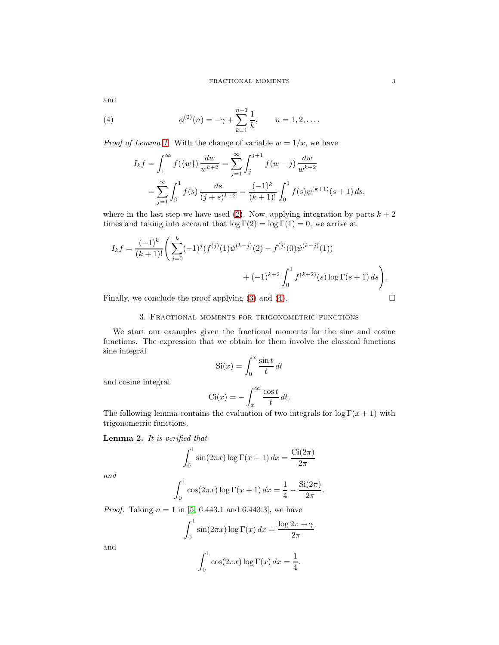and

(4) 
$$
\phi^{(0)}(n) = -\gamma + \sum_{k=1}^{n-1} \frac{1}{k}, \qquad n = 1, 2, ....
$$

*Proof of Lemma [1.](#page-1-0)* With the change of variable  $w = 1/x$ , we have

<span id="page-2-0"></span>
$$
I_k f = \int_1^\infty f(\{w\}) \frac{dw}{w^{k+2}} = \sum_{j=1}^\infty \int_j^{j+1} f(w - j) \frac{dw}{w^{k+2}}
$$
  
= 
$$
\sum_{j=1}^\infty \int_0^1 f(s) \frac{ds}{(j+s)^{k+2}} = \frac{(-1)^k}{(k+1)!} \int_0^1 f(s) \psi^{(k+1)}(s+1) ds,
$$

where in the last step we have used [\(2\)](#page-1-2). Now, applying integration by parts  $k + 2$ times and taking into account that  $\log \Gamma(2) = \log \Gamma(1) = 0$ , we arrive at

$$
I_k f = \frac{(-1)^k}{(k+1)!} \left( \sum_{j=0}^k (-1)^j (f^{(j)}(1)\psi^{(k-j)}(2) - f^{(j)}(0)\psi^{(k-j)}(1)) + (-1)^{k+2} \int_0^1 f^{(k+2)}(s) \log \Gamma(s+1) ds \right).
$$

Finally, we conclude the proof applying [\(3\)](#page-1-3) and [\(4\)](#page-2-0).  $\Box$ 

## 3. Fractional moments for trigonometric functions

We start our examples given the fractional moments for the sine and cosine functions. The expression that we obtain for them involve the classical functions sine integral

$$
Si(x) = \int_0^x \frac{\sin t}{t} dt
$$

and cosine integral

$$
\text{Ci}(x) = -\int_x^\infty \frac{\cos t}{t} \, dt.
$$

The following lemma contains the evaluation of two integrals for  $\log \Gamma(x+1)$  with trigonometric functions.

<span id="page-2-1"></span>Lemma 2. It is verified that

$$
\int_0^1 \sin(2\pi x) \log \Gamma(x+1) \, dx = \frac{\text{Ci}(2\pi)}{2\pi}
$$

and

$$
\int_0^1 \cos(2\pi x) \log \Gamma(x+1) \, dx = \frac{1}{4} - \frac{\text{Si}(2\pi)}{2\pi}.
$$

*Proof.* Taking  $n = 1$  in [\[5,](#page-13-7) 6.443.1 and 6.443.3], we have

$$
\int_0^1 \sin(2\pi x) \log \Gamma(x) \, dx = \frac{\log 2\pi + \gamma}{2\pi}
$$

and

$$
\int_0^1 \cos(2\pi x) \log \Gamma(x) \, dx = \frac{1}{4}.
$$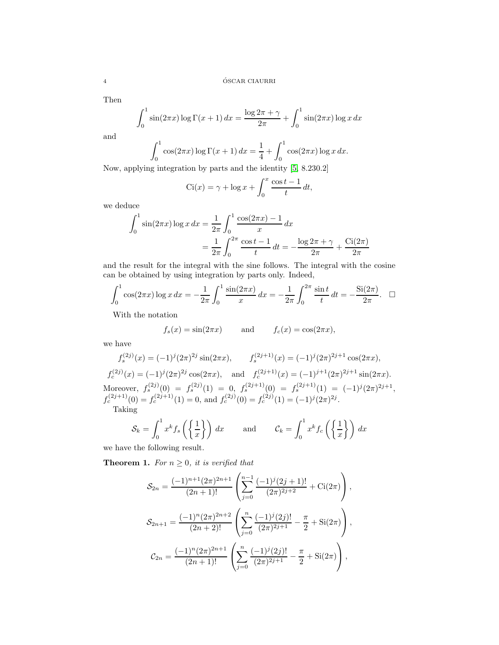Then

$$
\int_0^1 \sin(2\pi x) \log \Gamma(x+1) dx = \frac{\log 2\pi + \gamma}{2\pi} + \int_0^1 \sin(2\pi x) \log x dx
$$

and

$$
\int_0^1 \cos(2\pi x) \log \Gamma(x+1) \, dx = \frac{1}{4} + \int_0^1 \cos(2\pi x) \log x \, dx.
$$

Now, applying integration by parts and the identity [\[5,](#page-13-7) 8.230.2]

$$
Ci(x) = \gamma + \log x + \int_0^x \frac{\cos t - 1}{t} dt,
$$

we deduce

$$
\int_0^1 \sin(2\pi x) \log x \, dx = \frac{1}{2\pi} \int_0^1 \frac{\cos(2\pi x) - 1}{x} \, dx
$$

$$
= \frac{1}{2\pi} \int_0^{2\pi} \frac{\cos t - 1}{t} \, dt = -\frac{\log 2\pi + \gamma}{2\pi} + \frac{\text{Ci}(2\pi)}{2\pi}
$$

and the result for the integral with the sine follows. The integral with the cosine can be obtained by using integration by parts only. Indeed,

$$
\int_0^1 \cos(2\pi x) \log x \, dx = -\frac{1}{2\pi} \int_0^1 \frac{\sin(2\pi x)}{x} \, dx = -\frac{1}{2\pi} \int_0^{2\pi} \frac{\sin t}{t} \, dt = -\frac{\text{Si}(2\pi)}{2\pi}. \quad \Box
$$

With the notation

$$
f_s(x) = \sin(2\pi x) \qquad \text{and} \qquad f_c(x) = \cos(2\pi x),
$$

we have

$$
f_s^{(2j)}(x) = (-1)^j (2\pi)^{2j} \sin(2\pi x), \qquad f_s^{(2j+1)}(x) = (-1)^j (2\pi)^{2j+1} \cos(2\pi x),
$$

 $f_c^{(2j)}(x) = (-1)^j (2\pi)^{2j} \cos(2\pi x), \text{ and } f_c^{(2j+1)}(x) = (-1)^{j+1} (2\pi)^{2j+1} \sin(2\pi x).$ Moreover,  $f_s^{(2j)}(0) = f_s^{(2j)}(1) = 0, f_s^{(2j+1)}(0) = f_s^{(2j+1)}(1) = (-1)^j (2\pi)^{2j+1},$  $f_c^{(2j+1)}(0) = f_c^{(2j+1)}(1) = 0$ , and  $f_c^{(2j)}(0) = f_c^{(2j)}(1) = (-1)^j (2\pi)^{2j}$ . Taking

$$
\mathcal{S}_k = \int_0^1 x^k f_s\left(\left\{\frac{1}{x}\right\}\right) dx \quad \text{and} \quad \mathcal{C}_k = \int_0^1 x^k f_c\left(\left\{\frac{1}{x}\right\}\right) dx
$$

we have the following result.

**Theorem 1.** For  $n \geq 0$ , it is verified that

$$
\mathcal{S}_{2n} = \frac{(-1)^{n+1}(2\pi)^{2n+1}}{(2n+1)!} \left( \sum_{j=0}^{n-1} \frac{(-1)^j(2j+1)!}{(2\pi)^{2j+2}} + \text{Ci}(2\pi) \right),
$$
  

$$
\mathcal{S}_{2n+1} = \frac{(-1)^n(2\pi)^{2n+2}}{(2n+2)!} \left( \sum_{j=0}^n \frac{(-1)^j(2j)!}{(2\pi)^{2j+1}} - \frac{\pi}{2} + \text{Si}(2\pi) \right),
$$
  

$$
\mathcal{C}_{2n} = \frac{(-1)^n(2\pi)^{2n+1}}{(2n+1)!} \left( \sum_{j=0}^n \frac{(-1)^j(2j)!}{(2\pi)^{2j+1}} - \frac{\pi}{2} + \text{Si}(2\pi) \right),
$$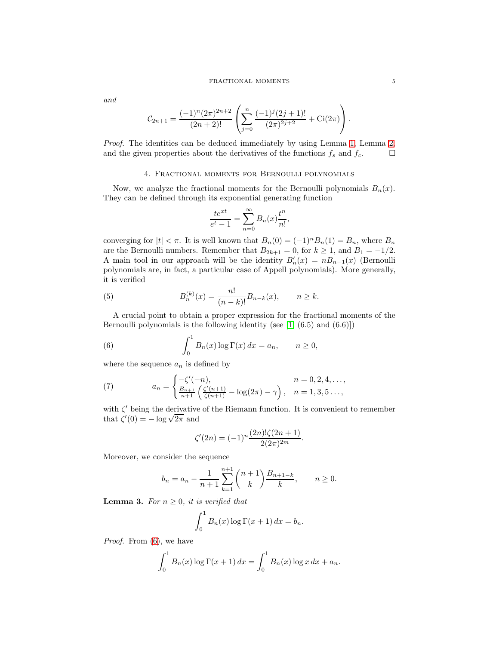#### FRACTIONAL MOMENTS  $\qquad \qquad \, 5$

and

$$
C_{2n+1} = \frac{(-1)^n (2\pi)^{2n+2}}{(2n+2)!} \left( \sum_{j=0}^n \frac{(-1)^j (2j+1)!}{(2\pi)^{2j+2}} + \text{Ci}(2\pi) \right).
$$

Proof. The identities can be deduced immediately by using Lemma [1,](#page-1-0) Lemma [2,](#page-2-1) and the given properties about the derivatives of the functions  $f_s$  and  $f_c$ .

# 4. Fractional moments for Bernoulli polynomials

Now, we analyze the fractional moments for the Bernoulli polynomials  $B_n(x)$ . They can be defined through its exponential generating function

$$
\frac{te^{xt}}{e^t - 1} = \sum_{n=0}^{\infty} B_n(x) \frac{t^n}{n!},
$$

converging for  $|t| < \pi$ . It is well known that  $B_n(0) = (-1)^n B_n(1) = B_n$ , where  $B_n$ are the Bernoulli numbers. Remember that  $B_{2k+1} = 0$ , for  $k \ge 1$ , and  $B_1 = -1/2$ . A main tool in our approach will be the identity  $B'_n(x) = nB_{n-1}(x)$  (Bernoulli polynomials are, in fact, a particular case of Appell polynomials). More generally, it is verified

<span id="page-4-1"></span>(5) 
$$
B_n^{(k)}(x) = \frac{n!}{(n-k)!} B_{n-k}(x), \qquad n \ge k.
$$

A crucial point to obtain a proper expression for the fractional moments of the Bernoulli polynomials is the following identity (see  $[1, (6.5)$  and  $(6.6)]$ )

<span id="page-4-0"></span>(6) 
$$
\int_0^1 B_n(x) \log \Gamma(x) dx = a_n, \qquad n \ge 0,
$$

where the sequence  $a_n$  is defined by

<span id="page-4-3"></span>(7) 
$$
a_n = \begin{cases} -\zeta'(-n), & n = 0, 2, 4, \dots, \\ \frac{B_{n+1}}{n+1} \left( \frac{\zeta'(n+1)}{\zeta(n+1)} - \log(2\pi) - \gamma \right), & n = 1, 3, 5 \dots, \end{cases}
$$

with  $\zeta'$  being the derivative of the Riemann function. It is convenient to remember that  $\zeta'(0) = -\log \sqrt{2\pi}$  and

$$
\zeta'(2n) = (-1)^n \frac{(2n)!\zeta(2n+1)}{2(2\pi)^{2m}}.
$$

Moreover, we consider the sequence

$$
b_n = a_n - \frac{1}{n+1} \sum_{k=1}^{n+1} {n+1 \choose k} \frac{B_{n+1-k}}{k}, \qquad n \ge 0.
$$

<span id="page-4-2"></span>**Lemma 3.** For  $n \geq 0$ , it is verified that

$$
\int_0^1 B_n(x) \log \Gamma(x+1) \, dx = b_n.
$$

Proof. From [\(6\)](#page-4-0), we have

$$
\int_0^1 B_n(x) \log \Gamma(x+1) \, dx = \int_0^1 B_n(x) \log x \, dx + a_n.
$$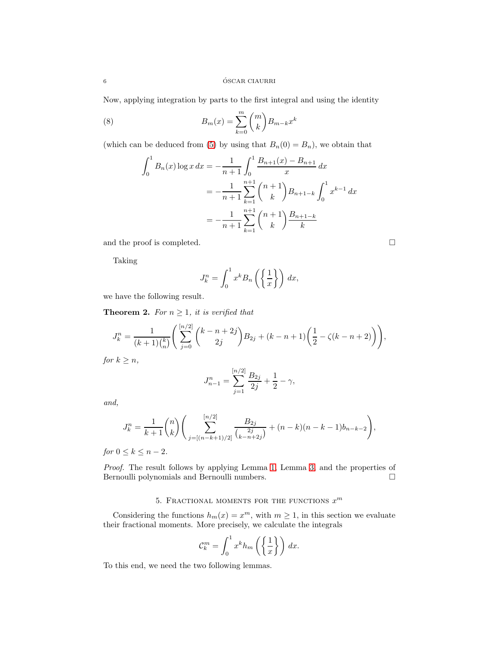Now, applying integration by parts to the first integral and using the identity

(8) 
$$
B_m(x) = \sum_{k=0}^m \binom{m}{k} B_{m-k} x^k
$$

(which can be deduced from [\(5\)](#page-4-1) by using that  $B_n(0) = B_n$ ), we obtain that

<span id="page-5-0"></span>
$$
\int_0^1 B_n(x) \log x \, dx = -\frac{1}{n+1} \int_0^1 \frac{B_{n+1}(x) - B_{n+1}}{x} \, dx
$$

$$
= -\frac{1}{n+1} \sum_{k=1}^{n+1} {n+1 \choose k} B_{n+1-k} \int_0^1 x^{k-1} \, dx
$$

$$
= -\frac{1}{n+1} \sum_{k=1}^{n+1} {n+1 \choose k} \frac{B_{n+1-k}}{k}
$$

and the proof is completed.

Taking

$$
J_k^n = \int_0^1 x^k B_n \left( \left\{ \frac{1}{x} \right\} \right) dx,
$$

we have the following result.

**Theorem 2.** For  $n \geq 1$ , it is verified that

$$
J_k^n = \frac{1}{(k+1)\binom{k}{n}} \left( \sum_{j=0}^{[n/2]} \binom{k-n+2j}{2j} B_{2j} + (k-n+1) \left( \frac{1}{2} - \zeta(k-n+2) \right) \right),
$$

for  $k \geq n$ ,

$$
J_{n-1}^{n} = \sum_{j=1}^{[n/2]} \frac{B_{2j}}{2j} + \frac{1}{2} - \gamma,
$$

and,

$$
J_k^n = \frac{1}{k+1} \binom{n}{k} \left( \sum_{j=\lfloor (n-k+1)/2 \rfloor}^{\lfloor n/2 \rfloor} \frac{B_{2j}}{\binom{2j}{k-n+2j}} + (n-k)(n-k-1)b_{n-k-2} \right),
$$

for  $0 \leq k \leq n-2$ .

Proof. The result follows by applying Lemma [1,](#page-1-0) Lemma [3,](#page-4-2) and the properties of Bernoulli polynomials and Bernoulli numbers.  $\Box$ 

# 5. FRACTIONAL MOMENTS FOR THE FUNCTIONS  $x^m$

Considering the functions  $h_m(x) = x^m$ , with  $m \ge 1$ , in this section we evaluate their fractional moments. More precisely, we calculate the integrals

$$
\mathcal{C}_k^m = \int_0^1 x^k h_m\left(\left\{\frac{1}{x}\right\}\right) dx.
$$

To this end, we need the two following lemmas.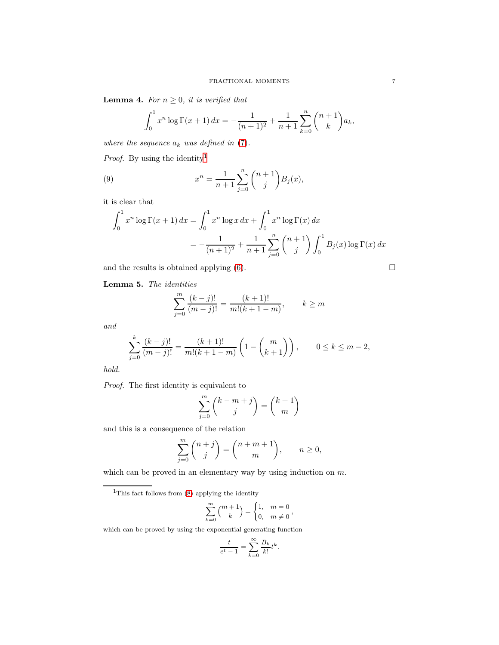<span id="page-6-1"></span>**Lemma 4.** For  $n \geq 0$ , it is verified that

<span id="page-6-3"></span>
$$
\int_0^1 x^n \log \Gamma(x+1) \, dx = -\frac{1}{(n+1)^2} + \frac{1}{n+1} \sum_{k=0}^n \binom{n+1}{k} a_k,
$$

where the sequence  $a_k$  was defined in  $(7)$ .

*Proof.* By using the identity<sup>[1](#page-6-0)</sup>

(9) 
$$
x^{n} = \frac{1}{n+1} \sum_{j=0}^{n} {n+1 \choose j} B_{j}(x),
$$

it is clear that

$$
\int_0^1 x^n \log \Gamma(x+1) dx = \int_0^1 x^n \log x dx + \int_0^1 x^n \log \Gamma(x) dx
$$
  
= 
$$
-\frac{1}{(n+1)^2} + \frac{1}{n+1} \sum_{j=0}^n {n+1 \choose j} \int_0^1 B_j(x) \log \Gamma(x) dx
$$

and the results is obtained applying [\(6\)](#page-4-0).

$$
\qquad \qquad \Box
$$

<span id="page-6-2"></span>Lemma 5. The identities

$$
\sum_{j=0}^{m} \frac{(k-j)!}{(m-j)!} = \frac{(k+1)!}{m!(k+1-m)}, \qquad k \ge m
$$

and

$$
\sum_{j=0}^{k} \frac{(k-j)!}{(m-j)!} = \frac{(k+1)!}{m!(k+1-m)} \left( 1 - \binom{m}{k+1} \right), \qquad 0 \le k \le m-2,
$$

hold.

Proof. The first identity is equivalent to

$$
\sum_{j=0}^{m} {k-m+j \choose j} = {k+1 \choose m}
$$

and this is a consequence of the relation

$$
\sum_{j=0}^{m} {n+j \choose j} = {n+m+1 \choose m}, \qquad n \ge 0,
$$

which can be proved in an elementary way by using induction on  $m$ .

$$
\sum_{k=0}^{m} \binom{m+1}{k} = \begin{cases} 1, & m = 0 \\ 0, & m \neq 0 \end{cases},
$$

which can be proved by using the exponential generating function

$$
\frac{t}{e^t - 1} = \sum_{k=0}^{\infty} \frac{B_k}{k!} t^k.
$$

<span id="page-6-0"></span><sup>&</sup>lt;sup>1</sup>This fact follows from  $(8)$  applying the identity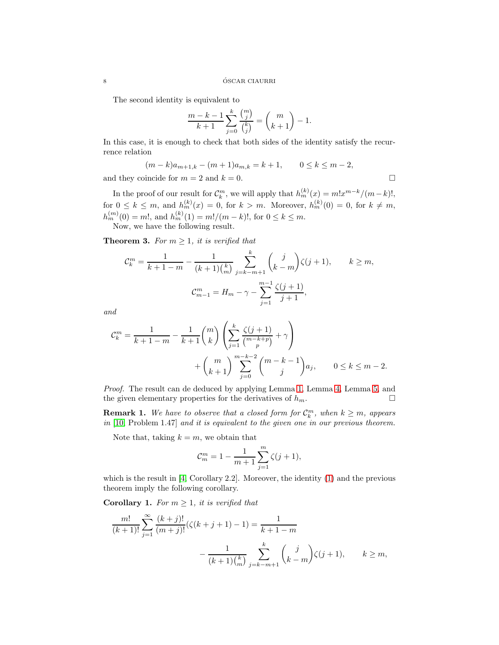The second identity is equivalent to

$$
\frac{m-k-1}{k+1}\sum_{j=0}^k\frac{\binom{m}{j}}{\binom{k}{j}}=\binom{m}{k+1}-1.
$$

In this case, it is enough to check that both sides of the identity satisfy the recurrence relation

$$
(m-k)a_{m+1,k} - (m+1)a_{m,k} = k+1, \qquad 0 \le k \le m-2,
$$
  
and they coincide for  $m = 2$  and  $k = 0$ .

In the proof of our result for  $\mathcal{C}_k^m$ , we will apply that  $h_m^{(k)}(x) = m!x^{m-k}/(m-k)!$ , for  $0 \leq k \leq m$ , and  $h_m^{(k)}(x) = 0$ , for  $k > m$ . Moreover,  $h_m^{(k)}(0) = 0$ , for  $k \neq m$ ,  $h_m^{(m)}(0) = m!$ , and  $h_m^{(k)}(1) = m!/(m-k)!$ , for  $0 \le k \le m$ . Now, we have the following result.

<span id="page-7-0"></span>**Theorem 3.** For  $m \geq 1$ , it is verified that

$$
C_k^m = \frac{1}{k+1-m} - \frac{1}{(k+1)\binom{k}{m}} \sum_{j=k-m+1}^k \binom{j}{k-m} \zeta(j+1), \qquad k \ge m,
$$
  

$$
C_{m-1}^m = H_m - \gamma - \sum_{j=1}^{m-1} \frac{\zeta(j+1)}{j+1},
$$

and

$$
C_k^m = \frac{1}{k+1-m} - \frac{1}{k+1} {m \choose k} \left( \sum_{j=1}^k \frac{\zeta(j+1)}{{m-k+p \choose p}} + \gamma \right) + {m \choose k+1} \sum_{j=0}^{m-k-2} {m-k-1 \choose j} a_j, \qquad 0 \le k \le m-2.
$$

Proof. The result can de deduced by applying Lemma [1,](#page-1-0) Lemma [4,](#page-6-1) Lemma [5,](#page-6-2) and the given elementary properties for the derivatives of  $h_m$ .

**Remark 1.** We have to observe that a closed form for  $\mathcal{C}_k^m$ , when  $k \geq m$ , appears in [\[10,](#page-13-5) Problem 1.47] and it is equivalent to the given one in our previous theorem.

Note that, taking  $k = m$ , we obtain that

$$
\mathcal{C}_m^m=1-\frac{1}{m+1}\sum_{j=1}^m\zeta(j+1),
$$

which is the result in  $[4,$  Corollary 2.2. Moreover, the identity  $(1)$  and the previous theorem imply the following corollary.

**Corollary 1.** For  $m \geq 1$ , it is verified that

$$
\frac{m!}{(k+1)!} \sum_{j=1}^{\infty} \frac{(k+j)!}{(m+j)!} (\zeta(k+j+1) - 1) = \frac{1}{k+1-m}
$$

$$
- \frac{1}{(k+1) {k \choose m}} \sum_{j=k-m+1}^{k} {j \choose k-m} \zeta(j+1), \qquad k \ge m,
$$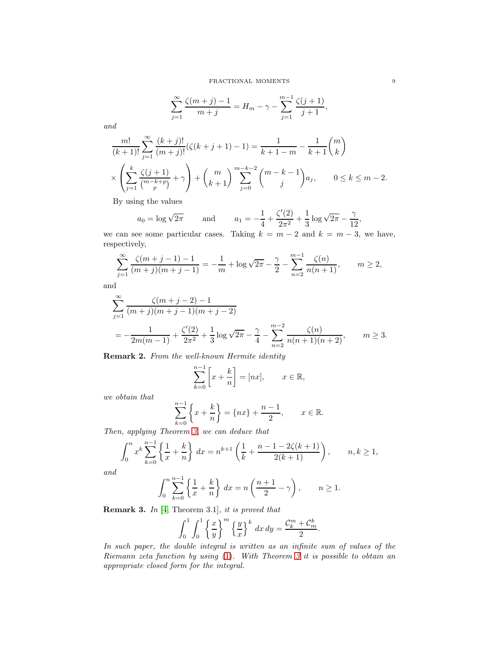$$
\sum_{j=1}^{\infty} \frac{\zeta(m+j)-1}{m+j} = H_m - \gamma - \sum_{j=1}^{m-1} \frac{\zeta(j+1)}{j+1},
$$

and

$$
\frac{m!}{(k+1)!} \sum_{j=1}^{\infty} \frac{(k+j)!}{(m+j)!} (\zeta(k+j+1)-1) = \frac{1}{k+1-m} - \frac{1}{k+1} {m \choose k}
$$

$$
\times \left( \sum_{j=1}^{k} \frac{\zeta(j+1)}{{m-k+p \choose p}} + \gamma \right) + {m \choose k+1} \sum_{j=0}^{m-k-2} {m-k-1 \choose j} a_j, \qquad 0 \le k \le m-2.
$$

By using the values

$$
a_0 = \log \sqrt{2\pi}
$$
 and  $a_1 = -\frac{1}{4} + \frac{\zeta'(2)}{2\pi^2} + \frac{1}{3} \log \sqrt{2\pi} - \frac{\gamma}{12}$ ,

we can see some particular cases. Taking  $k = m - 2$  and  $k = m - 3$ , we have, respectively,

$$
\sum_{j=1}^{\infty} \frac{\zeta(m+j-1)-1}{(m+j)(m+j-1)} = -\frac{1}{m} + \log \sqrt{2\pi} - \frac{\gamma}{2} - \sum_{n=2}^{m-1} \frac{\zeta(n)}{n(n+1)}, \qquad m \ge 2,
$$

and

$$
\sum_{j=1}^{\infty} \frac{\zeta(m+j-2)-1}{(m+j)(m+j-1)(m+j-2)}
$$
  
=  $-\frac{1}{2m(m-1)} + \frac{\zeta'(2)}{2\pi^2} + \frac{1}{3}\log\sqrt{2\pi} - \frac{\gamma}{4} - \sum_{n=2}^{m-2} \frac{\zeta(n)}{n(n+1)(n+2)}, \qquad m \ge 3.$ 

Remark 2. From the well-known Hermite identity

$$
\sum_{k=0}^{n-1} \left[ x + \frac{k}{n} \right] = [nx], \qquad x \in \mathbb{R},
$$

we obtain that

$$
\sum_{k=0}^{n-1} \left\{ x + \frac{k}{n} \right\} = \left\{ nx \right\} + \frac{n-1}{2}, \qquad x \in \mathbb{R}.
$$

Then, applying Theorem [3,](#page-7-0) we can deduce that

$$
\int_0^n x^k \sum_{k=0}^{n-1} \left\{ \frac{1}{x} + \frac{k}{n} \right\} dx = n^{k+1} \left( \frac{1}{k} + \frac{n-1-2\zeta(k+1)}{2(k+1)} \right), \qquad n, k \ge 1,
$$

and

$$
\int_0^n \sum_{k=0}^{n-1} \left\{ \frac{1}{x} + \frac{k}{n} \right\} dx = n \left( \frac{n+1}{2} - \gamma \right), \qquad n \ge 1.
$$

Remark 3. In [\[4,](#page-13-2) Theorem 3.1], it is proved that

$$
\int_0^1 \int_0^1 \left\{ \frac{x}{y} \right\}^m \left\{ \frac{y}{x} \right\}^k dx dy = \frac{\mathcal{C}_k^m + \mathcal{C}_m^k}{2}.
$$

In such paper, the double integral is written as an infinite sum of values of the Riemann zeta function by using [\(1\)](#page-0-0). With Theorem [3](#page-7-0) it is possible to obtain an appropriate closed form for the integral.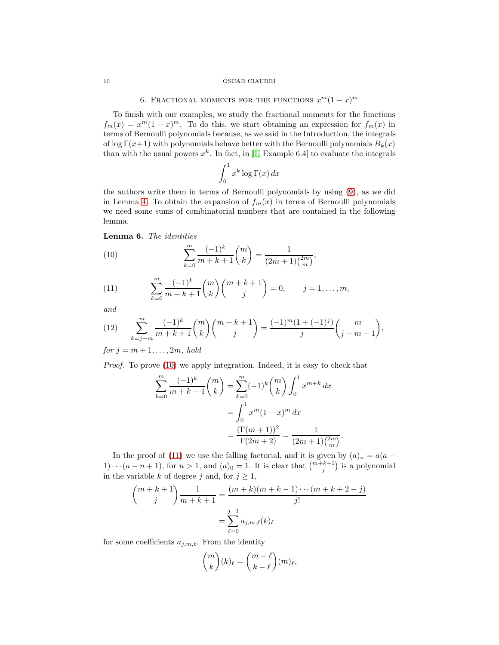#### 10 ÓSCAR CIAURRI

# 6. FRACTIONAL MOMENTS FOR THE FUNCTIONS  $x^m(1-x)^m$

To finish with our examples, we study the fractional moments for the functions  $f_m(x) = x^m(1-x)^m$ . To do this, we start obtaining an expression for  $f_m(x)$  in terms of Bernoulli polynomials because, as we said in the Introduction, the integrals of log  $\Gamma(x+1)$  with polynomials behave better with the Bernoulli polynomials  $B_k(x)$ than with the usual powers  $x^k$ . In fact, in [\[1,](#page-13-6) Example 6.4] to evaluate the integrals

$$
\int_0^1 x^k \log \Gamma(x) \, dx
$$

the authors write them in terms of Bernoulli polynomials by using [\(9\)](#page-6-3), as we did in Lemma [4.](#page-6-1) To obtain the expansion of  $f_m(x)$  in terms of Bernoulli polynomials we need some sums of combinatorial numbers that are contained in the following lemma.

Lemma 6. The identities

<span id="page-9-0"></span>(10) 
$$
\sum_{k=0}^{m} \frac{(-1)^k}{m+k+1} {m \choose k} = \frac{1}{(2m+1) {2m \choose m}},
$$

<span id="page-9-1"></span>(11) 
$$
\sum_{k=0}^{m} \frac{(-1)^k}{m+k+1} {m \choose k} {m+k+1 \choose j} = 0, \qquad j = 1, ..., m,
$$

and

<span id="page-9-2"></span>(12) 
$$
\sum_{k=j-m}^{m} \frac{(-1)^k}{m+k+1} {m \choose k} {m+k+1 \choose j} = \frac{(-1)^m (1+(-1)^j)}{j} {m \choose j-m-1},
$$

for  $j = m + 1, \ldots, 2m$ , hold

Proof. To prove [\(10\)](#page-9-0) we apply integration. Indeed, it is easy to check that

$$
\sum_{k=0}^{m} \frac{(-1)^k}{m+k+1} {m \choose k} = \sum_{k=0}^{m} (-1)^k {m \choose k} \int_0^1 x^{m+k} dx
$$

$$
= \int_0^1 x^m (1-x)^m dx
$$

$$
= \frac{(\Gamma(m+1))^2}{\Gamma(2m+2)} = \frac{1}{(2m+1)\binom{2m}{m}}.
$$

In the proof of [\(11\)](#page-9-1) we use the falling factorial, and it is given by  $(a)_n = a(a 1) \cdots (a - n + 1)$ , for  $n > 1$ , and  $(a)_0 = 1$ . It is clear that  $\binom{m+k+1}{j}$  is a polynomial in the variable k of degree j and, for  $j \geq 1$ ,

$$
\binom{m+k+1}{j} \frac{1}{m+k+1} = \frac{(m+k)(m+k-1)\cdots(m+k+2-j)}{j!}
$$

$$
= \sum_{\ell=0}^{j-1} a_{j,m,\ell}(k)_{\ell}
$$

for some coefficients  $a_{j,m,\ell}$ . From the identity

$$
\binom{m}{k}(k)_{\ell} = \binom{m-\ell}{k-\ell}(m)_{\ell},
$$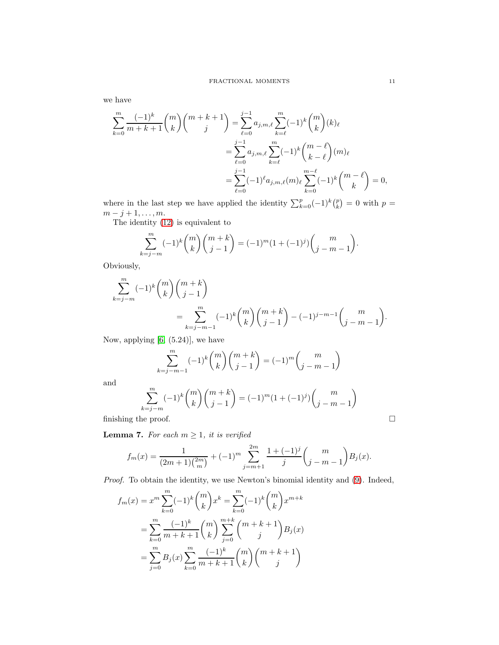we have

$$
\sum_{k=0}^{m} \frac{(-1)^k}{m+k+1} {m \choose k} {m+k+1 \choose j} = \sum_{\ell=0}^{j-1} a_{j,m,\ell} \sum_{k=\ell}^{m} (-1)^k {m \choose k} (k)_{\ell}
$$

$$
= \sum_{\ell=0}^{j-1} a_{j,m,\ell} \sum_{k=\ell}^{m} (-1)^k {m-\ell \choose k-\ell} (m)_{\ell}
$$

$$
= \sum_{\ell=0}^{j-1} (-1)^{\ell} a_{j,m,\ell}(m)_{\ell} \sum_{k=0}^{m-\ell} (-1)^k {m-\ell \choose k} = 0,
$$

where in the last step we have applied the identity  $\sum_{k=0}^{p}(-1)^{k}\binom{p}{k} = 0$  with  $p =$  $m - j + 1, \ldots, m$ .

The identity [\(12\)](#page-9-2) is equivalent to

$$
\sum_{k=j-m}^{m} (-1)^k \binom{m}{k} \binom{m+k}{j-1} = (-1)^m (1+(-1)^j) \binom{m}{j-m-1}.
$$

Obviously,

$$
\sum_{k=j-m}^{m} (-1)^k \binom{m}{k} \binom{m+k}{j-1} = \sum_{k=j-m-1}^{m} (-1)^k \binom{m}{k} \binom{m+k}{j-1} - (-1)^{j-m-1} \binom{m}{j-m-1}.
$$

Now, applying [\[6,](#page-13-8) (5.24)], we have

$$
\sum_{k=j-m-1}^{m} (-1)^k \binom{m}{k} \binom{m+k}{j-1} = (-1)^m \binom{m}{j-m-1}
$$

and

$$
\sum_{k=j-m}^{m} (-1)^k \binom{m}{k} \binom{m+k}{j-1} = (-1)^m (1+(-1)^j) \binom{m}{j-m-1}
$$

finishing the proof.  $\Box$ 

<span id="page-10-0"></span>**Lemma 7.** For each  $m \geq 1$ , it is verified

$$
f_m(x) = \frac{1}{(2m+1)\binom{2m}{m}} + (-1)^m \sum_{j=m+1}^{2m} \frac{1+(-1)^j}{j} \binom{m}{j-m-1} B_j(x).
$$

Proof. To obtain the identity, we use Newton's binomial identity and [\(9\)](#page-6-3). Indeed,

$$
f_m(x) = x^m \sum_{k=0}^m (-1)^k {m \choose k} x^k = \sum_{k=0}^m (-1)^k {m \choose k} x^{m+k}
$$
  
= 
$$
\sum_{k=0}^m \frac{(-1)^k}{m+k+1} {m \choose k} \sum_{j=0}^{m+k} {m+k+1 \choose j} B_j(x)
$$
  
= 
$$
\sum_{j=0}^m B_j(x) \sum_{k=0}^m \frac{(-1)^k}{m+k+1} {m \choose k} {m+k+1 \choose j}
$$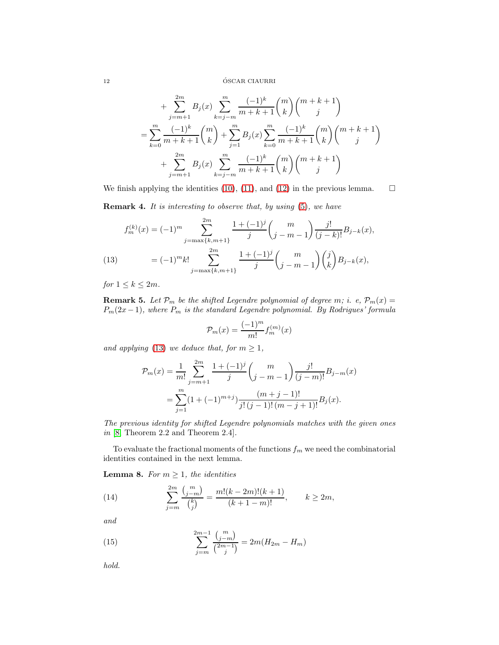12 ÓSCAR CIAURRI

$$
+\sum_{j=m+1}^{2m} B_j(x) \sum_{k=j-m}^{m} \frac{(-1)^k}{m+k+1} {m \choose k} {m+k+1 \choose j}
$$
  
= 
$$
\sum_{k=0}^{m} \frac{(-1)^k}{m+k+1} {m \choose k} + \sum_{j=1}^{m} B_j(x) \sum_{k=0}^{m} \frac{(-1)^k}{m+k+1} {m \choose k} {m+k+1 \choose j}
$$
  
+ 
$$
\sum_{j=m+1}^{2m} B_j(x) \sum_{k=j-m}^{m} \frac{(-1)^k}{m+k+1} {m \choose k} {m+k+1 \choose j}
$$

We finish applying the identities [\(10\)](#page-9-0), [\(11\)](#page-9-1), and [\(12\)](#page-9-2) in the previous lemma.  $\square$ 

**Remark 4.** It is interesting to observe that, by using  $(5)$ , we have

$$
f_m^{(k)}(x) = (-1)^m \sum_{j=\max\{k,m+1\}}^{2m} \frac{1+(-1)^j}{j} {m \choose j-m-1} \frac{j!}{(j-k)!} B_{j-k}(x),
$$
  
(13) 
$$
= (-1)^m k! \sum_{j=\max\{k,m+1\}}^{2m} \frac{1+(-1)^j}{j} {m \choose j-m-1} {j \choose k} B_{j-k}(x),
$$

<span id="page-11-0"></span>for  $1 \leq k \leq 2m$ .

**Remark 5.** Let  $\mathcal{P}_m$  be the shifted Legendre polynomial of degree m; i. e,  $\mathcal{P}_m(x) =$  $P_m(2x-1)$ , where  $P_m$  is the standard Legendre polynomial. By Rodrigues' formula

$$
\mathcal{P}_m(x) = \frac{(-1)^m}{m!} f_m^{(m)}(x)
$$

and applying [\(13\)](#page-11-0) we deduce that, for  $m \geq 1$ ,

$$
\mathcal{P}_m(x) = \frac{1}{m!} \sum_{j=m+1}^{2m} \frac{1 + (-1)^j}{j} {m \choose j-m-1} \frac{j!}{(j-m)!} B_{j-m}(x)
$$
  
= 
$$
\sum_{j=1}^m (1 + (-1)^{m+j}) \frac{(m+j-1)!}{j! (j-1)! (m-j+1)!} B_j(x).
$$

The previous identity for shifted Legendre polynomials matches with the given ones in [\[8,](#page-13-9) Theorem 2.2 and Theorem 2.4].

To evaluate the fractional moments of the functions  $f_m$  we need the combinatorial identities contained in the next lemma.

<span id="page-11-1"></span>**Lemma 8.** For  $m \geq 1$ , the identities

<span id="page-11-2"></span>(14) 
$$
\sum_{j=m}^{2m} \frac{\binom{m}{j-m}}{\binom{k}{j}} = \frac{m!(k-2m)!(k+1)}{(k+1-m)!}, \qquad k \ge 2m,
$$

and

<span id="page-11-3"></span>(15) 
$$
\sum_{j=m}^{2m-1} \frac{\binom{m}{j-m}}{\binom{2m-1}{j}} = 2m(H_{2m} - H_m)
$$

hold.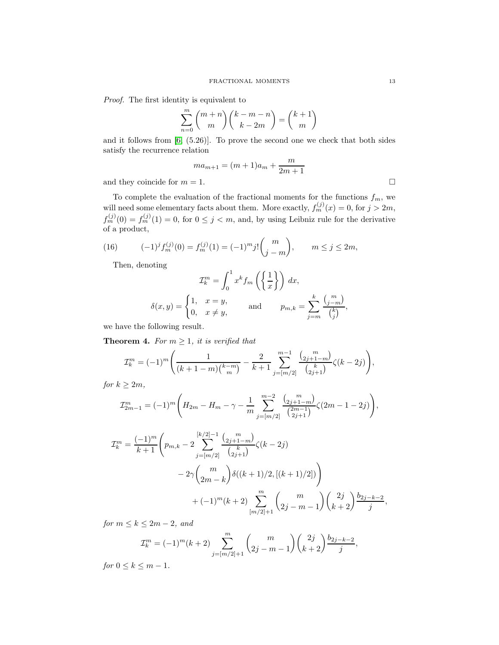Proof. The first identity is equivalent to

$$
\sum_{n=0}^{m} {m+n \choose m} {k-m-n \choose k-2m} = {k+1 \choose m}
$$

and it follows from [\[6,](#page-13-8) (5.26)]. To prove the second one we check that both sides satisfy the recurrence relation

$$
ma_{m+1} = (m+1)a_m + \frac{m}{2m+1}
$$

and they coincide for  $m = 1$ .

To complete the evaluation of the fractional moments for the functions  $f_m$ , we will need some elementary facts about them. More exactly,  $f_m^{(j)}(x) = 0$ , for  $j > 2m$ ,  $f_m^{(j)}(0) = f_m^{(j)}(1) = 0$ , for  $0 \le j < m$ , and, by using Leibniz rule for the derivative of a product,

(16) 
$$
(-1)^{j} f_{m}^{(j)}(0) = f_{m}^{(j)}(1) = (-1)^{m} j! {m \choose j-m}, \qquad m \le j \le 2m,
$$

Then, denoting

<span id="page-12-0"></span>
$$
\mathcal{I}_k^m = \int_0^1 x^k f_m\left(\left\{\frac{1}{x}\right\}\right) dx,
$$
  

$$
\delta(x, y) = \begin{cases} 1, & x = y, \\ 0, & x \neq y, \end{cases} \quad \text{and} \quad p_{m,k} = \sum_{j=m}^k \frac{\binom{m}{j-m}}{\binom{k}{j}},
$$

we have the following result.

**Theorem 4.** For  $m \geq 1$ , it is verified that

$$
\mathcal{I}_k^m = (-1)^m \left( \frac{1}{(k+1-m)\binom{k-m}{m}} - \frac{2}{k+1} \sum_{j=[m/2]}^{m-1} \frac{\binom{m}{2j+1-m}}{\binom{k}{2j+1}} \zeta(k-2j) \right),
$$

for  $k \geq 2m$ ,

$$
\mathcal{I}_{2m-1}^{m} = (-1)^{m} \left( H_{2m} - H_{m} - \gamma - \frac{1}{m} \sum_{j=[m/2]}^{m-2} \frac{{n \choose 2j+1-m}}{\binom{2m-1}{2j+1}} \zeta(2m-1-2j) \right),
$$

$$
\mathcal{I}_k^m = \frac{(-1)^m}{k+1} \left( p_{m,k} - 2 \sum_{j=[m/2]}^{[k/2]-1} \frac{\binom{m}{2j+1-m}}{\binom{k}{2j+1}} \zeta(k-2j) - 2\gamma \binom{m}{2m-k} \delta((k+1)/2, [(k+1)/2]) \right) + (-1)^m (k+2) \sum_{[m/2]+1}^m \binom{m}{2j-m-1} \binom{2j}{k+2} \frac{b_{2j-k-2}}{j}
$$

for  $m \leq k \leq 2m-2$ , and

$$
\mathcal{I}_k^m = (-1)^m (k+2) \sum_{j=[m/2]+1}^m {m \choose 2j-m-1} {2j \choose k+2} \frac{b_{2j-k-2}}{j},
$$

for  $0 \leq k \leq m-1$ .

,